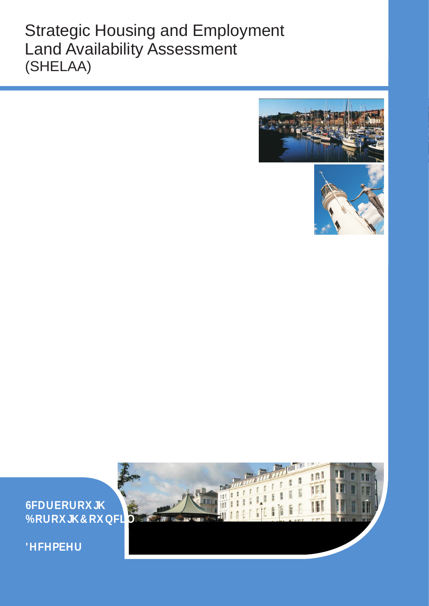## Strategic Housing and Employment Land Availability Assessment (SHELAA)







'HFHPEHU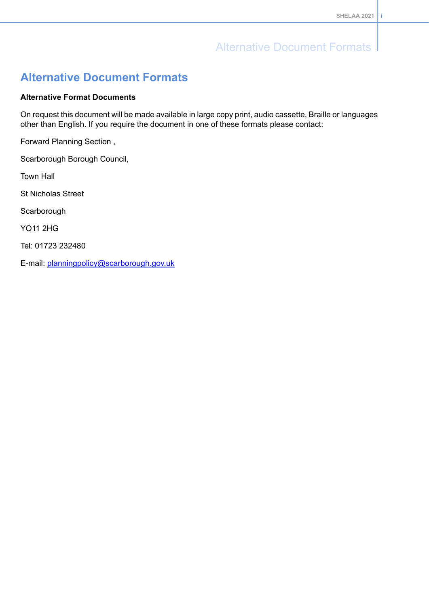### Alternative Document Formats

### **Alternative Document Formats**

### **Alternative Format Documents**

On request this document will be made available in large copy print, audio cassette, Braille or languages other than English. If you require the document in one of these formats please contact:

Forward Planning Section ,

Scarborough Borough Council,

Town Hall

St Nicholas Street

**Scarborough** 

YO11 2HG

Tel: 01723 232480

E-mail: [planningpolicy@scarborough.gov.uk](mailto:planningpolicy@scarborough.gov.uk)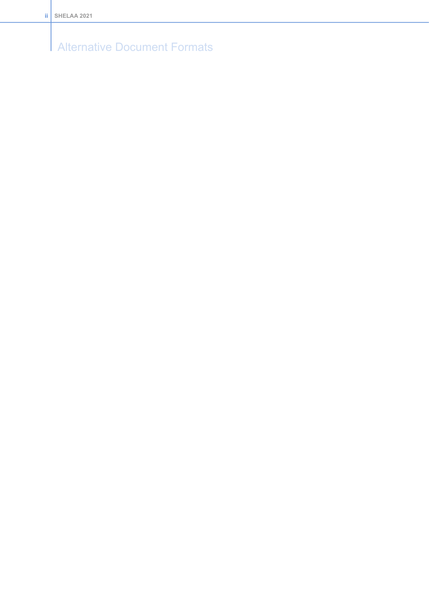Alternative Document Formats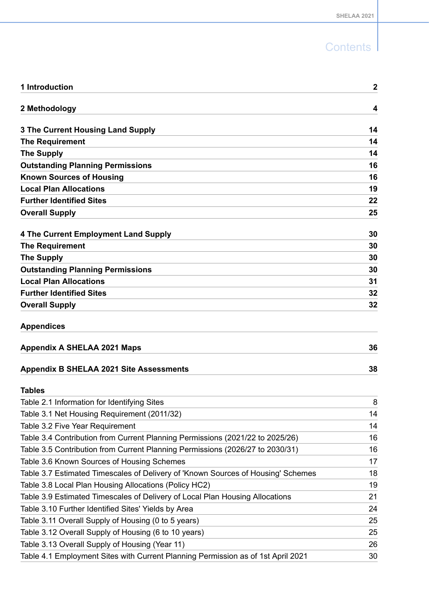## **Contents**

| 1 Introduction                                                                   | $\mathbf{2}$ |
|----------------------------------------------------------------------------------|--------------|
| 2 Methodology                                                                    | 4            |
| 3 The Current Housing Land Supply                                                | 14           |
| <b>The Requirement</b>                                                           | 14           |
| <b>The Supply</b>                                                                | 14           |
| <b>Outstanding Planning Permissions</b>                                          | 16           |
| <b>Known Sources of Housing</b>                                                  | 16           |
| <b>Local Plan Allocations</b>                                                    | 19           |
| <b>Further Identified Sites</b>                                                  | 22           |
| <b>Overall Supply</b>                                                            | 25           |
|                                                                                  |              |
| 4 The Current Employment Land Supply                                             | 30           |
| <b>The Requirement</b>                                                           | 30           |
| <b>The Supply</b>                                                                | 30           |
| <b>Outstanding Planning Permissions</b>                                          | 30           |
| <b>Local Plan Allocations</b>                                                    | 31           |
| <b>Further Identified Sites</b>                                                  | 32           |
| <b>Overall Supply</b>                                                            | 32           |
| <b>Appendices</b>                                                                |              |
| <b>Appendix A SHELAA 2021 Maps</b>                                               | 36           |
| <b>Appendix B SHELAA 2021 Site Assessments</b>                                   | 38           |
| <b>Tables</b>                                                                    |              |
| Table 2.1 Information for Identifying Sites                                      | 8            |
| Table 3.1 Net Housing Requirement (2011/32)                                      | 14           |
| Table 3.2 Five Year Requirement                                                  | 14           |
| Table 3.4 Contribution from Current Planning Permissions (2021/22 to 2025/26)    | 16           |
| Table 3.5 Contribution from Current Planning Permissions (2026/27 to 2030/31)    | 16           |
| Table 3.6 Known Sources of Housing Schemes                                       | 17           |
| Table 3.7 Estimated Timescales of Delivery of 'Known Sources of Housing' Schemes | 18           |
| Table 3.8 Local Plan Housing Allocations (Policy HC2)                            | 19           |
| Table 3.9 Estimated Timescales of Delivery of Local Plan Housing Allocations     | 21           |
| Table 3.10 Further Identified Sites' Yields by Area                              | 24           |
| Table 3.11 Overall Supply of Housing (0 to 5 years)                              | 25           |
| Table 3.12 Overall Supply of Housing (6 to 10 years)                             | 25           |
| Table 3.13 Overall Supply of Housing (Year 11)                                   | 26           |
| Table 4.1 Employment Sites with Current Planning Permission as of 1st April 2021 | 30           |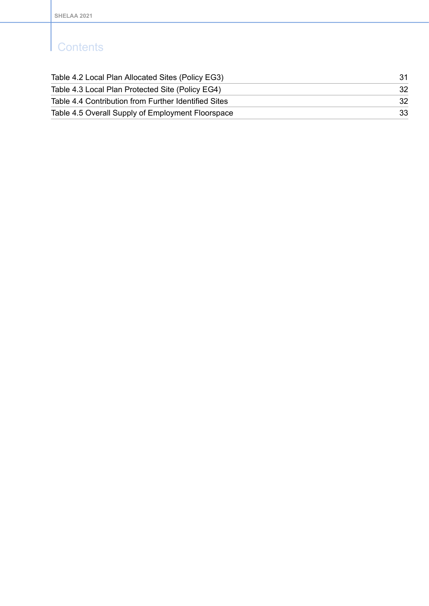## Contents

| Table 4.2 Local Plan Allocated Sites (Policy EG3)    |    |
|------------------------------------------------------|----|
| Table 4.3 Local Plan Protected Site (Policy EG4)     | 32 |
| Table 4.4 Contribution from Further Identified Sites | 32 |
| Table 4.5 Overall Supply of Employment Floorspace    | 33 |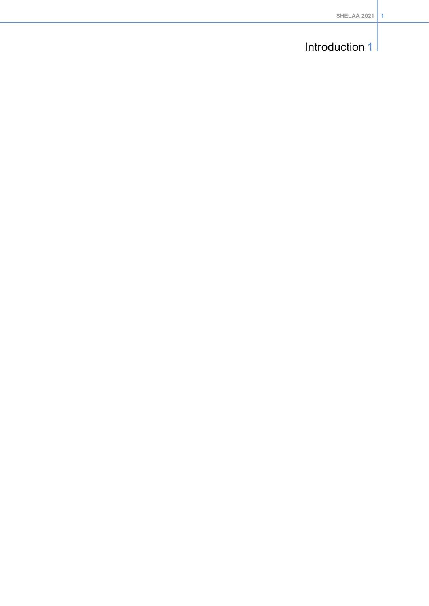## Introduction 1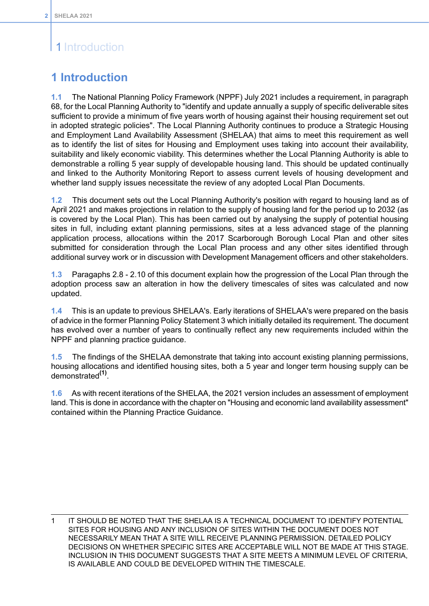## 1 Introduction

### <span id="page-7-0"></span>**1 Introduction**

**1.1** The National Planning Policy Framework (NPPF) July 2021 includes a requirement, in paragraph 68, for the Local Planning Authority to "identify and update annually a supply of specific deliverable sites sufficient to provide a minimum of five years worth of housing against their housing requirement set out in adopted strategic policies". The Local Planning Authority continues to produce a Strategic Housing and Employment Land Availability Assessment (SHELAA) that aims to meet this requirement as well as to identify the list of sites for Housing and Employment uses taking into account their availability, suitability and likely economic viability. This determines whether the Local Planning Authority is able to demonstrable a rolling 5 year supply of developable housing land. This should be updated continually and linked to the Authority Monitoring Report to assess current levels of housing development and whether land supply issues necessitate the review of any adopted Local Plan Documents.

**1.2** This document sets out the Local Planning Authority's position with regard to housing land as of April 2021 and makes projections in relation to the supply of housing land for the period up to 2032 (as is covered by the Local Plan). This has been carried out by analysing the supply of potential housing sites in full, including extant planning permissions, sites at a less advanced stage of the planning application process, allocations within the 2017 Scarborough Borough Local Plan and other sites submitted for consideration through the Local Plan process and any other sites identified through additional survey work or in discussion with Development Management officers and other stakeholders.

**1.3** Paragaphs 2.8 - 2.10 of this document explain how the progression of the Local Plan through the adoption process saw an alteration in how the delivery timescales of sites was calculated and now updated.

**1.4** This is an update to previous SHELAA's. Early iterations of SHELAA's were prepared on the basis of advice in the former Planning Policy Statement 3 which initially detailed its requirement. The document has evolved over a number of years to continually reflect any new requirements included within the NPPF and planning practice guidance.

**1.5** The findings of the SHELAA demonstrate that taking into account existing planning permissions, housing allocations and identified housing sites, both a 5 year and longer term housing supply can be demonstrated**(1)** .

**1.6** As with recent iterations of the SHELAA, the 2021 version includes an assessment of employment land. This is done in accordance with the chapter on "Housing and economic land availability assessment" contained within the Planning Practice Guidance.

1 IT SHOULD BE NOTED THAT THE SHELAA IS A TECHNICAL DOCUMENT TO IDENTIFY POTENTIAL SITES FOR HOUSING AND ANY INCLUSION OF SITES WITHIN THE DOCUMENT DOES NOT NECESSARILY MEAN THAT A SITE WILL RECEIVE PLANNING PERMISSION. DETAILED POLICY DECISIONS ON WHETHER SPECIFIC SITES ARE ACCEPTABLE WILL NOT BE MADE AT THIS STAGE. INCLUSION IN THIS DOCUMENT SUGGESTS THAT A SITE MEETS A MINIMUM LEVEL OF CRITERIA, IS AVAILABLE AND COULD BE DEVELOPED WITHIN THE TIMESCALE.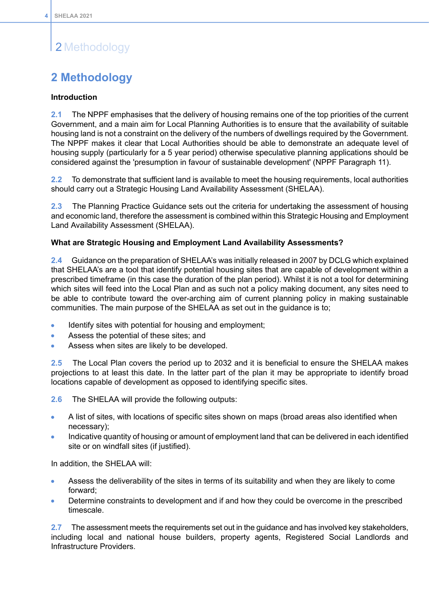### <span id="page-9-0"></span>**2 Methodology**

### **Introduction**

**2.1** The NPPF emphasises that the delivery of housing remains one of the top priorities of the current Government, and a main aim for Local Planning Authorities is to ensure that the availability of suitable housing land is not a constraint on the delivery of the numbers of dwellings required by the Government. The NPPF makes it clear that Local Authorities should be able to demonstrate an adequate level of housing supply (particularly for a 5 year period) otherwise speculative planning applications should be considered against the 'presumption in favour of sustainable development' (NPPF Paragraph 11).

**2.2** To demonstrate that sufficient land is available to meet the housing requirements, local authorities should carry out a Strategic Housing Land Availability Assessment (SHELAA).

**2.3** The Planning Practice Guidance sets out the criteria for undertaking the assessment of housing and economic land, therefore the assessment is combined within this Strategic Housing and Employment Land Availability Assessment (SHELAA).

### **What are Strategic Housing and Employment Land Availability Assessments?**

**2.4** Guidance on the preparation of SHELAA's was initially released in 2007 by DCLG which explained that SHELAA's are a tool that identify potential housing sites that are capable of development within a prescribed timeframe (in this case the duration of the plan period). Whilst it is not a tool for determining which sites will feed into the Local Plan and as such not a policy making document, any sites need to be able to contribute toward the over-arching aim of current planning policy in making sustainable communities. The main purpose of the SHELAA as set out in the guidance is to;

- $\bullet$ Identify sites with potential for housing and employment;
- Assess the potential of these sites; and  $\bullet$
- Assess when sites are likely to be developed.

**2.5** The Local Plan covers the period up to 2032 and it is beneficial to ensure the SHELAA makes projections to at least this date. In the latter part of the plan it may be appropriate to identify broad locations capable of development as opposed to identifying specific sites.

**2.6** The SHELAA will provide the following outputs:

- A list of sites, with locations of specific sites shown on maps (broad areas also identified when  $\bullet$ necessary);
- Indicative quantity of housing or amount of employment land that can be delivered in each identified  $\bullet$ site or on windfall sites (if justified).

In addition, the SHELAA will:

- Assess the deliverability of the sites in terms of its suitability and when they are likely to come forward;
- Determine constraints to development and if and how they could be overcome in the prescribed  $\bullet$ timescale.

**2.7** The assessment meets the requirements set out in the guidance and has involved key stakeholders, including local and national house builders, property agents, Registered Social Landlords and Infrastructure Providers.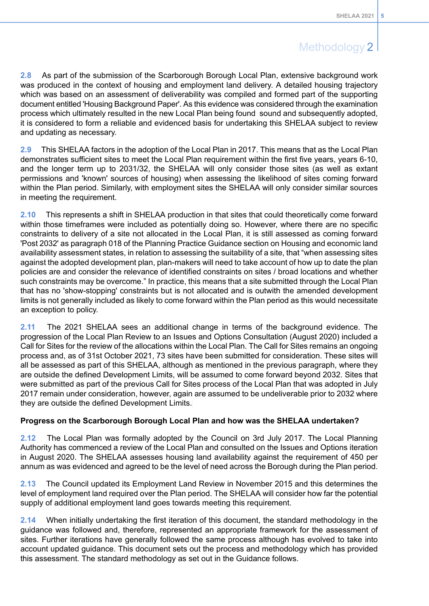**2.8** As part of the submission of the Scarborough Borough Local Plan, extensive background work was produced in the context of housing and employment land delivery. A detailed housing trajectory which was based on an assessment of deliverability was compiled and formed part of the supporting document entitled 'Housing Background Paper'. As this evidence was considered through the examination process which ultimately resulted in the new Local Plan being found sound and subsequently adopted, it is considered to form a reliable and evidenced basis for undertaking this SHELAA subject to review and updating as necessary.

**2.9** This SHELAA factors in the adoption of the Local Plan in 2017. This means that as the Local Plan demonstrates sufficient sites to meet the Local Plan requirement within the first five years, years 6-10, and the longer term up to 2031/32, the SHELAA will only consider those sites (as well as extant permissions and 'known' sources of housing) when assessing the likelihood of sites coming forward within the Plan period. Similarly, with employment sites the SHELAA will only consider similar sources in meeting the requirement.

**2.10** This represents a shift in SHELAA production in that sites that could theoretically come forward within those timeframes were included as potentially doing so. However, where there are no specific constraints to delivery of a site not allocated in the Local Plan, it is still assessed as coming forward 'Post 2032' as paragraph 018 of the Planning Practice Guidance section on Housing and economic land availability assessment states, in relation to assessing the suitability of a site, that "when assessing sites against the adopted development plan, plan-makers will need to take account of how up to date the plan policies are and consider the relevance of identified constraints on sites / broad locations and whether such constraints may be overcome." In practice, this means that a site submitted through the Local Plan that has no 'show-stopping' constraints but is not allocated and is outwith the amended development limits is not generally included as likely to come forward within the Plan period as this would necessitate an exception to policy.

**2.11** The 2021 SHELAA sees an additional change in terms of the background evidence. The progression of the Local Plan Review to an Issues and Options Consultation (August 2020) included a Call for Sites for the review of the allocations within the Local Plan. The Call for Sites remains an ongoing process and, as of 31st October 2021, 73 sites have been submitted for consideration. These sites will all be assessed as part of this SHELAA, although as mentioned in the previous paragraph, where they are outside the defined Development Limits, will be assumed to come forward beyond 2032. Sites that were submitted as part of the previous Call for Sites process of the Local Plan that was adopted in July 2017 remain under consideration, however, again are assumed to be undeliverable prior to 2032 where they are outside the defined Development Limits.

### **Progress on the Scarborough Borough Local Plan and how was the SHELAA undertaken?**

**2.12** The Local Plan was formally adopted by the Council on 3rd July 2017. The Local Planning Authority has commenced a review of the Local Plan and consulted on the Issues and Options iteration in August 2020. The SHELAA assesses housing land availability against the requirement of 450 per annum as was evidenced and agreed to be the level of need across the Borough during the Plan period.

**2.13** The Council updated its Employment Land Review in November 2015 and this determines the level of employment land required over the Plan period. The SHELAA will consider how far the potential supply of additional employment land goes towards meeting this requirement.

**2.14** When initially undertaking the first iteration of this document, the standard methodology in the guidance was followed and, therefore, represented an appropriate framework for the assessment of sites. Further iterations have generally followed the same process although has evolved to take into account updated guidance. This document sets out the process and methodology which has provided this assessment. The standard methodology as set out in the Guidance follows.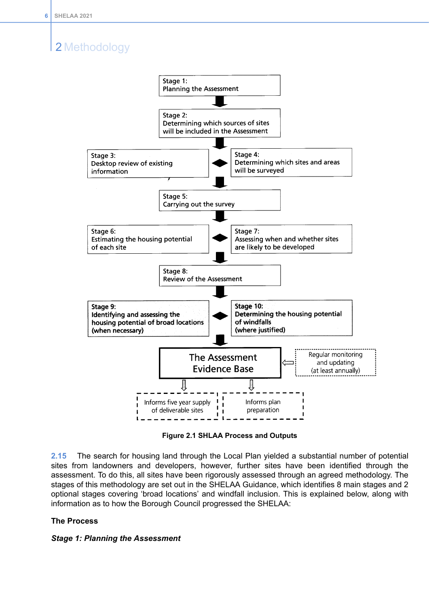

**Figure 2.1 SHLAA Process and Outputs**

**2.15** The search for housing land through the Local Plan yielded a substantial number of potential sites from landowners and developers, however, further sites have been identified through the assessment. To do this, all sites have been rigorously assessed through an agreed methodology. The stages of this methodology are set out in the SHELAA Guidance, which identifies 8 main stages and 2 optional stages covering 'broad locations' and windfall inclusion. This is explained below, along with information as to how the Borough Council progressed the SHELAA:

### **The Process**

### *Stage 1: Planning the Assessment*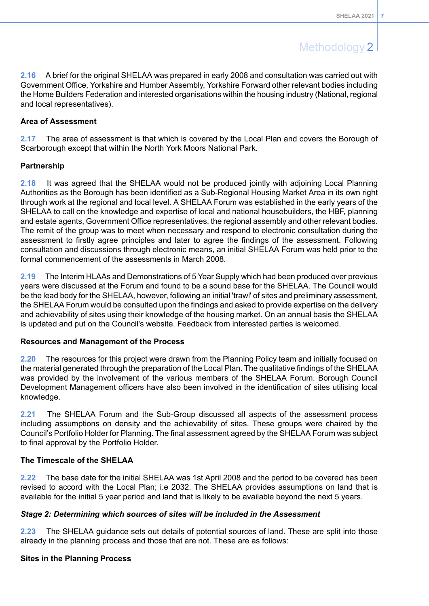**2.16** A brief for the original SHELAA was prepared in early 2008 and consultation was carried out with Government Office, Yorkshire and Humber Assembly, Yorkshire Forward other relevant bodies including the Home Builders Federation and interested organisations within the housing industry (National, regional and local representatives).

### **Area of Assessment**

**2.17** The area of assessment is that which is covered by the Local Plan and covers the Borough of Scarborough except that within the North York Moors National Park.

### **Partnership**

**2.18** It was agreed that the SHELAA would not be produced jointly with adjoining Local Planning Authorities as the Borough has been identified as a Sub-Regional Housing Market Area in its own right through work at the regional and local level. A SHELAA Forum was established in the early years of the SHELAA to call on the knowledge and expertise of local and national housebuilders, the HBF, planning and estate agents, Government Office representatives, the regional assembly and other relevant bodies. The remit of the group was to meet when necessary and respond to electronic consultation during the assessment to firstly agree principles and later to agree the findings of the assessment. Following consultation and discussions through electronic means, an initial SHELAA Forum was held prior to the formal commencement of the assessments in March 2008.

**2.19** The Interim HLAAs and Demonstrations of 5 Year Supply which had been produced over previous years were discussed at the Forum and found to be a sound base for the SHELAA. The Council would be the lead body for the SHELAA, however, following an initial 'trawl' of sites and preliminary assessment, the SHELAA Forum would be consulted upon the findings and asked to provide expertise on the delivery and achievability of sites using their knowledge of the housing market. On an annual basis the SHELAA is updated and put on the Council's website. Feedback from interested parties is welcomed.

### **Resources and Management of the Process**

**2.20** The resources for this project were drawn from the Planning Policy team and initially focused on the material generated through the preparation of the Local Plan. The qualitative findings of the SHELAA was provided by the involvement of the various members of the SHELAA Forum. Borough Council Development Management officers have also been involved in the identification of sites utilising local knowledge.

**2.21** The SHELAA Forum and the Sub-Group discussed all aspects of the assessment process including assumptions on density and the achievability of sites. These groups were chaired by the Council's Portfolio Holder for Planning. The final assessment agreed by the SHELAA Forum was subject to final approval by the Portfolio Holder.

### **The Timescale of the SHELAA**

**2.22** The base date for the initial SHELAA was 1st April 2008 and the period to be covered has been revised to accord with the Local Plan; i.e 2032. The SHELAA provides assumptions on land that is available for the initial 5 year period and land that is likely to be available beyond the next 5 years.

### *Stage 2: Determining which sources of sites will be included in the Assessment*

**2.23** The SHELAA guidance sets out details of potential sources of land. These are split into those already in the planning process and those that are not. These are as follows:

### **Sites in the Planning Process**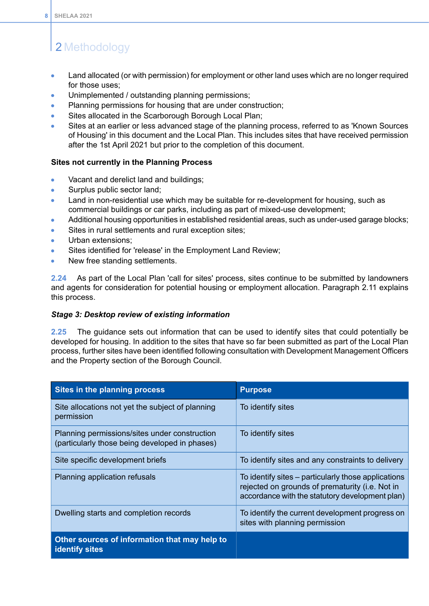- Land allocated (or with permission) for employment or other land uses which are no longer required  $\bullet$ for those uses;
- Unimplemented / outstanding planning permissions;
- Planning permissions for housing that are under construction;  $\bullet$
- Sites allocated in the Scarborough Borough Local Plan;  $\bullet$
- Sites at an earlier or less advanced stage of the planning process, referred to as 'Known Sources × of Housing' in this document and the Local Plan. This includes sites that have received permission after the 1st April 2021 but prior to the completion of this document.

### **Sites not currently in the Planning Process**

- $\ddot{\phantom{a}}$ Vacant and derelict land and buildings;
- Surplus public sector land;  $\bullet$
- Land in non-residential use which may be suitable for re-development for housing, such as commercial buildings or car parks, including as part of mixed-use development;
- Additional housing opportunities in established residential areas, such as under-used garage blocks; ä
- Sites in rural settlements and rural exception sites; ò
- ò Urban extensions;
- Sites identified for 'release' in the Employment Land Review;
- New free standing settlements.

**2.24** As part of the Local Plan 'call for sites' process, sites continue to be submitted by landowners and agents for consideration for potential housing or employment allocation. Paragraph 2.11 explains this process.

### *Stage 3: Desktop review of existing information*

**2.25** The guidance sets out information that can be used to identify sites that could potentially be developed for housing. In addition to the sites that have so far been submitted as part of the Local Plan process, further sites have been identified following consultation with Development Management Officers and the Property section of the Borough Council.

<span id="page-13-0"></span>

| Sites in the planning process                                                                   | <b>Purpose</b>                                                                                                                                            |
|-------------------------------------------------------------------------------------------------|-----------------------------------------------------------------------------------------------------------------------------------------------------------|
| Site allocations not yet the subject of planning<br>permission                                  | To identify sites                                                                                                                                         |
| Planning permissions/sites under construction<br>(particularly those being developed in phases) | To identify sites                                                                                                                                         |
| Site specific development briefs                                                                | To identify sites and any constraints to delivery                                                                                                         |
| Planning application refusals                                                                   | To identify sites – particularly those applications<br>rejected on grounds of prematurity (i.e. Not in<br>accordance with the statutory development plan) |
| Dwelling starts and completion records                                                          | To identify the current development progress on<br>sites with planning permission                                                                         |
| Other sources of information that may help to<br><b>identify sites</b>                          |                                                                                                                                                           |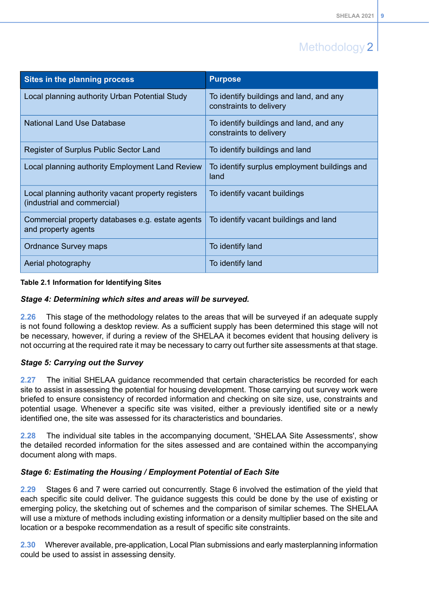| Sites in the planning process                                                     | <b>Purpose</b>                                                     |
|-----------------------------------------------------------------------------------|--------------------------------------------------------------------|
| Local planning authority Urban Potential Study                                    | To identify buildings and land, and any<br>constraints to delivery |
| <b>National Land Use Database</b>                                                 | To identify buildings and land, and any<br>constraints to delivery |
| Register of Surplus Public Sector Land                                            | To identify buildings and land                                     |
| Local planning authority Employment Land Review                                   | To identify surplus employment buildings and<br>land               |
| Local planning authority vacant property registers<br>(industrial and commercial) | To identify vacant buildings                                       |
| Commercial property databases e.g. estate agents<br>and property agents           | To identify vacant buildings and land                              |
| Ordnance Survey maps                                                              | To identify land                                                   |
| Aerial photography                                                                | To identify land                                                   |

**Table 2.1 Information for Identifying Sites**

### *Stage 4: Determining which sites and areas will be surveyed.*

**2.26** This stage of the methodology relates to the areas that will be surveyed if an adequate supply is not found following a desktop review. As a sufficient supply has been determined this stage will not be necessary, however, if during a review of the SHELAA it becomes evident that housing delivery is not occurring at the required rate it may be necessary to carry out further site assessments at that stage.

### *Stage 5: Carrying out the Survey*

**2.27** The initial SHELAA guidance recommended that certain characteristics be recorded for each site to assist in assessing the potential for housing development. Those carrying out survey work were briefed to ensure consistency of recorded information and checking on site size, use, constraints and potential usage. Whenever a specific site was visited, either a previously identified site or a newly identified one, the site was assessed for its characteristics and boundaries.

**2.28** The individual site tables in the accompanying document, 'SHELAA Site Assessments', show the detailed recorded information for the sites assessed and are contained within the accompanying document along with maps.

### *Stage 6: Estimating the Housing / Employment Potential of Each Site*

**2.29** Stages 6 and 7 were carried out concurrently. Stage 6 involved the estimation of the yield that each specific site could deliver. The guidance suggests this could be done by the use of existing or emerging policy, the sketching out of schemes and the comparison of similar schemes. The SHELAA will use a mixture of methods including existing information or a density multiplier based on the site and location or a bespoke recommendation as a result of specific site constraints.

**2.30** Wherever available, pre-application, Local Plan submissions and early masterplanning information could be used to assist in assessing density.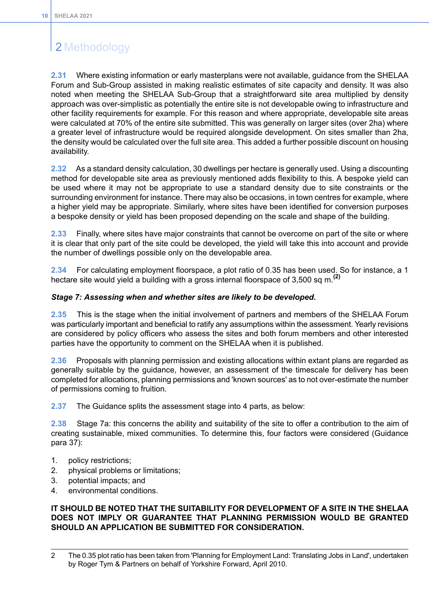**2.31** Where existing information or early masterplans were not available, guidance from the SHELAA Forum and Sub-Group assisted in making realistic estimates of site capacity and density. It was also noted when meeting the SHELAA Sub-Group that a straightforward site area multiplied by density approach was over-simplistic as potentially the entire site is not developable owing to infrastructure and other facility requirements for example. For this reason and where appropriate, developable site areas were calculated at 70% of the entire site submitted. This was generally on larger sites (over 2ha) where a greater level of infrastructure would be required alongside development. On sites smaller than 2ha, the density would be calculated over the full site area. This added a further possible discount on housing availability.

**2.32** As a standard density calculation, 30 dwellings per hectare is generally used. Using a discounting method for developable site area as previously mentioned adds flexibility to this. A bespoke yield can be used where it may not be appropriate to use a standard density due to site constraints or the surrounding environment for instance. There may also be occasions, in town centres for example, where a higher yield may be appropriate. Similarly, where sites have been identified for conversion purposes a bespoke density or yield has been proposed depending on the scale and shape of the building.

**2.33** Finally, where sites have major constraints that cannot be overcome on part of the site or where it is clear that only part of the site could be developed, the yield will take this into account and provide the number of dwellings possible only on the developable area.

**2.34** For calculating employment floorspace, a plot ratio of 0.35 has been used. So for instance, a 1 hectare site would yield a building with a gross internal floorspace of 3,500 sq m.**(2)**

### *Stage 7: Assessing when and whether sites are likely to be developed.*

**2.35** This is the stage when the initial involvement of partners and members of the SHELAA Forum was particularly important and beneficial to ratify any assumptions within the assessment. Yearly revisions are considered by policy officers who assess the sites and both forum members and other interested parties have the opportunity to comment on the SHELAA when it is published.

**2.36** Proposals with planning permission and existing allocations within extant plans are regarded as generally suitable by the guidance, however, an assessment of the timescale for delivery has been completed for allocations, planning permissions and 'known sources' as to not over-estimate the number of permissions coming to fruition.

**2.37** The Guidance splits the assessment stage into 4 parts, as below:

**2.38** Stage 7a: this concerns the ability and suitability of the site to offer a contribution to the aim of creating sustainable, mixed communities. To determine this, four factors were considered (Guidance para 37):

- 1. policy restrictions;
- 2. physical problems or limitations;
- 3. potential impacts; and
- 4. environmental conditions.

### **IT SHOULD BE NOTED THAT THE SUITABILITY FOR DEVELOPMENT OF A SITE IN THE SHELAA DOES NOT IMPLY OR GUARANTEE THAT PLANNING PERMISSION WOULD BE GRANTED SHOULD AN APPLICATION BE SUBMITTED FOR CONSIDERATION.**

<sup>2</sup> The 0.35 plot ratio has been taken from 'Planning for Employment Land: Translating Jobs in Land', undertaken by Roger Tym & Partners on behalf of Yorkshire Forward, April 2010.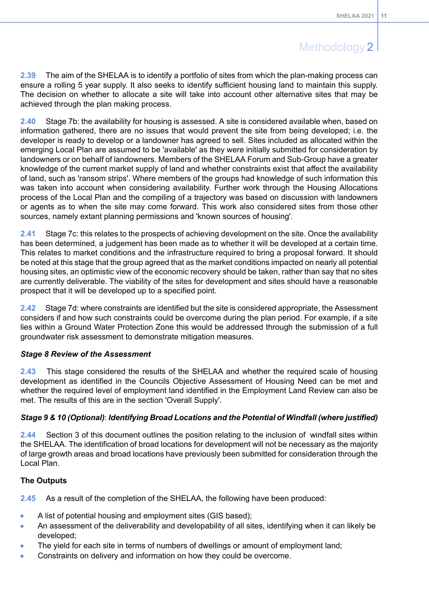**2.39** The aim of the SHELAA is to identify a portfolio of sites from which the plan-making process can ensure a rolling 5 year supply. It also seeks to identify sufficient housing land to maintain this supply. The decision on whether to allocate a site will take into account other alternative sites that may be achieved through the plan making process.

**2.40** Stage 7b: the availability for housing is assessed. A site is considered available when, based on information gathered, there are no issues that would prevent the site from being developed; i.e. the developer is ready to develop or a landowner has agreed to sell. Sites included as allocated within the emerging Local Plan are assumed to be 'available' as they were initially submitted for consideration by landowners or on behalf of landowners. Members of the SHELAA Forum and Sub-Group have a greater knowledge of the current market supply of land and whether constraints exist that affect the availability of land, such as 'ransom strips'. Where members of the groups had knowledge of such information this was taken into account when considering availability. Further work through the Housing Allocations process of the Local Plan and the compiling of a trajectory was based on discussion with landowners or agents as to when the site may come forward. This work also considered sites from those other sources, namely extant planning permissions and 'known sources of housing'.

**2.41** Stage 7c: this relates to the prospects of achieving development on the site. Once the availability has been determined, a judgement has been made as to whether it will be developed at a certain time. This relates to market conditions and the infrastructure required to bring a proposal forward. It should be noted at this stage that the group agreed that as the market conditions impacted on nearly all potential housing sites, an optimistic view of the economic recovery should be taken, rather than say that no sites are currently deliverable. The viability of the sites for development and sites should have a reasonable prospect that it will be developed up to a specified point.

**2.42** Stage 7d: where constraints are identified but the site is considered appropriate, the Assessment considers if and how such constraints could be overcome during the plan period. For example, if a site lies within a Ground Water Protection Zone this would be addressed through the submission of a full groundwater risk assessment to demonstrate mitigation measures.

### *Stage 8 Review of the Assessment*

**2.43** This stage considered the results of the SHELAA and whether the required scale of housing development as identified in the Councils Objective Assessment of Housing Need can be met and whether the required level of employment land identified in the Employment Land Review can also be met. The results of this are in the section 'Overall Supply'.

### *Stage 9 & 10 (Optional)*: *Identifying Broad Locations and the Potential of Windfall (where justified)*

**2.44** Section 3 of this document outlines the position relating to the inclusion of windfall sites within the SHELAA. The identification of broad locations for development will not be necessary as the majority of large growth areas and broad locations have previously been submitted for consideration through the Local Plan.

### **The Outputs**

**2.45** As a result of the completion of the SHELAA, the following have been produced:

- A list of potential housing and employment sites (GIS based);
- An assessment of the deliverability and developability of all sites, identifying when it can likely be developed;
- The yield for each site in terms of numbers of dwellings or amount of employment land;
- Constraints on delivery and information on how they could be overcome.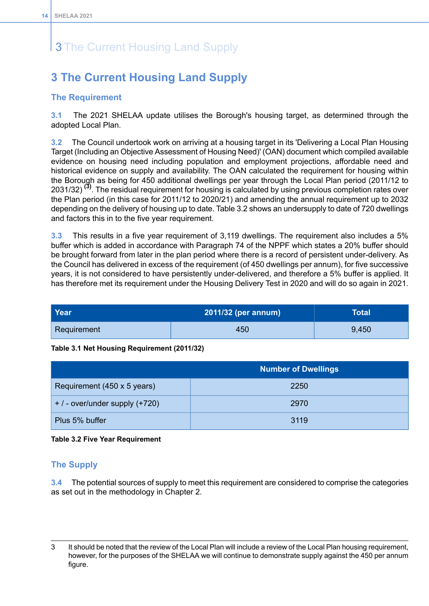### **3 The Current Housing Land Supply**

### **The Requirement**

**3.1** The 2021 SHELAA update utilises the Borough's housing target, as determined through the adopted Local Plan.

**3.2** The Council undertook work on arriving at a housing target in its 'Delivering a Local Plan Housing Target (Including an Objective Assessment of Housing Need)' (OAN) document which compiled available evidence on housing need including population and employment projections, affordable need and historical evidence on supply and availability. The OAN calculated the requirement for housing within the Borough as being for 450 additional dwellings per year through the Local Plan period (2011/12 to 2031/32) **(3)** . The residual requirement for housing is calculated by using previous completion rates over the Plan period (in this case for 2011/12 to 2020/21) and amending the annual requirement up to 2032 depending on the delivery of housing up to date. Table 3.2 shows an undersupply to date of 720 dwellings and factors this in to the five year requirement.

**3.3** This results in a five year requirement of 3,119 dwellings. The requirement also includes a 5% buffer which is added in accordance with Paragraph 74 of the NPPF which states a 20% buffer should be brought forward from later in the plan period where there is a record of persistent under-delivery. As the Council has delivered in excess of the requirement (of 450 dwellings per annum), for five successive years, it is not considered to have persistently under-delivered, and therefore a 5% buffer is applied. It has therefore met its requirement under the Housing Delivery Test in 2020 and will do so again in 2021.

| Year               | 2011/32 (per annum) | Total |
|--------------------|---------------------|-------|
| <b>Requirement</b> | 450                 | 9,450 |

**Table 3.1 Net Housing Requirement (2011/32)**

|                                  | <b>Number of Dwellings</b> |
|----------------------------------|----------------------------|
| Requirement (450 x 5 years)      | 2250                       |
| $+$ / - over/under supply (+720) | 2970                       |
| Plus 5% buffer                   | 3119                       |

**Table 3.2 Five Year Requirement**

### **The Supply**

**3.4** The potential sources of supply to meet this requirement are considered to comprise the categories as set out in the methodology in Chapter 2.

<sup>3</sup> It should be noted that the review of the Local Plan will include a review of the Local Plan housing requirement, however, for the purposes of the SHELAA we will continue to demonstrate supply against the 450 per annum figure.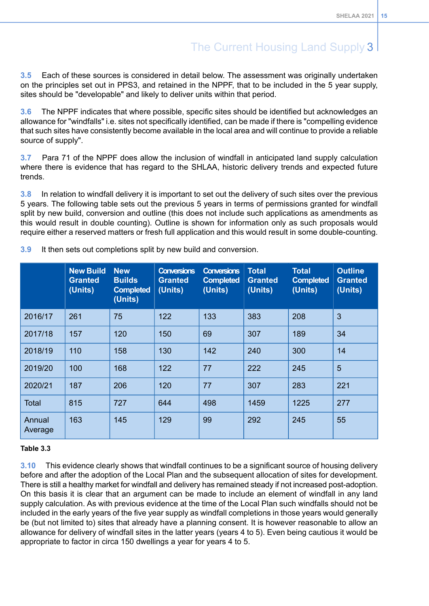**3.5** Each of these sources is considered in detail below. The assessment was originally undertaken on the principles set out in PPS3, and retained in the NPPF, that to be included in the 5 year supply, sites should be "developable" and likely to deliver units within that period.

**3.6** The NPPF indicates that where possible, specific sites should be identified but acknowledges an allowance for "windfalls" i.e. sites not specifically identified, can be made if there is "compelling evidence that such sites have consistently become available in the local area and will continue to provide a reliable source of supply".

**3.7** Para 71 of the NPPF does allow the inclusion of windfall in anticipated land supply calculation where there is evidence that has regard to the SHLAA, historic delivery trends and expected future trends.

**3.8** In relation to windfall delivery it is important to set out the delivery of such sites over the previous 5 years. The following table sets out the previous 5 years in terms of permissions granted for windfall split by new build, conversion and outline (this does not include such applications as amendments as this would result in double counting). Outline is shown for information only as such proposals would require either a reserved matters or fresh full application and this would result in some double-counting.

**3.9** It then sets out completions split by new build and conversion.

|                   | <b>New Build</b><br><b>Granted</b><br>(Units) | <b>New</b><br><b>Builds</b><br><b>Completed</b><br>(Units) | <b>Conversions</b><br><b>Granted</b><br>(Units) | <b>Conversions</b><br><b>Completed</b><br>(Units) | <b>Total</b><br><b>Granted</b><br>(Units) | <b>Total</b><br><b>Completed</b><br>(Units) | <b>Outline</b><br><b>Granted</b><br>(Units) |
|-------------------|-----------------------------------------------|------------------------------------------------------------|-------------------------------------------------|---------------------------------------------------|-------------------------------------------|---------------------------------------------|---------------------------------------------|
| 2016/17           | 261                                           | 75                                                         | 122                                             | 133                                               | 383                                       | 208                                         | 3                                           |
| 2017/18           | 157                                           | 120                                                        | 150                                             | 69                                                | 307                                       | 189                                         | 34                                          |
| 2018/19           | 110                                           | 158                                                        | 130                                             | 142                                               | 240                                       | 300                                         | 14                                          |
| 2019/20           | 100                                           | 168                                                        | 122                                             | 77                                                | 222                                       | 245                                         | 5                                           |
| 2020/21           | 187                                           | 206                                                        | 120                                             | 77                                                | 307                                       | 283                                         | 221                                         |
| <b>Total</b>      | 815                                           | 727                                                        | 644                                             | 498                                               | 1459                                      | 1225                                        | 277                                         |
| Annual<br>Average | 163                                           | 145                                                        | 129                                             | 99                                                | 292                                       | 245                                         | 55                                          |

### **Table 3.3**

**3.10** This evidence clearly shows that windfall continues to be a significant source of housing delivery before and after the adoption of the Local Plan and the subsequent allocation of sites for development. There is still a healthy market for windfall and delivery has remained steady if not increased post-adoption. On this basis it is clear that an argument can be made to include an element of windfall in any land supply calculation. As with previous evidence at the time of the Local Plan such windfalls should not be included in the early years of the five year supply as windfall completions in those years would generally be (but not limited to) sites that already have a planning consent. It is however reasonable to allow an allowance for delivery of windfall sites in the latter years (years 4 to 5). Even being cautious it would be appropriate to factor in circa 150 dwellings a year for years 4 to 5.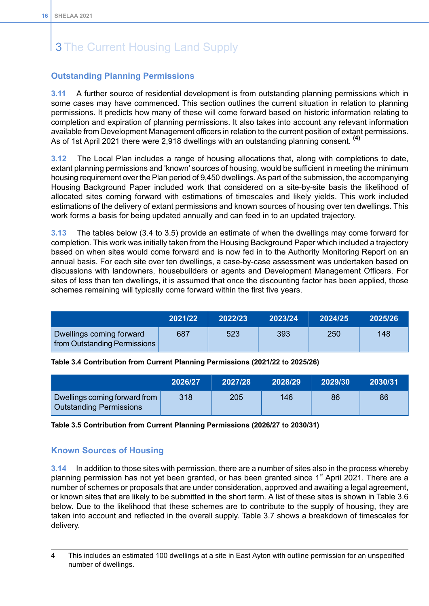### <span id="page-21-0"></span>**Outstanding Planning Permissions**

**3.11** A further source of residential development is from outstanding planning permissions which in some cases may have commenced. This section outlines the current situation in relation to planning permissions. It predicts how many of these will come forward based on historic information relating to completion and expiration of planning permissions. It also takes into account any relevant information available from Development Management officers in relation to the current position of extant permissions. As of 1st April 2021 there were 2,918 dwellings with an outstanding planning consent. **(4)**

**3.12** The Local Plan includes a range of housing allocations that, along with completions to date, extant planning permissions and 'known' sources of housing, would be sufficient in meeting the minimum housing requirement over the Plan period of 9,450 dwellings. As part of the submission, the accompanying Housing Background Paper included work that considered on a site-by-site basis the likelihood of allocated sites coming forward with estimations of timescales and likely yields. This work included estimations of the delivery of extant permissions and known sources of housing over ten dwellings. This work forms a basis for being updated annually and can feed in to an updated trajectory.

**3.13** The tables below (3.4 to 3.5) provide an estimate of when the dwellings may come forward for completion. This work was initially taken from the Housing Background Paper which included a trajectory based on when sites would come forward and is now fed in to the Authority Monitoring Report on an annual basis. For each site over ten dwellings, a case-by-case assessment was undertaken based on discussions with landowners, housebuilders or agents and Development Management Officers. For sites of less than ten dwellings, it is assumed that once the discounting factor has been applied, those schemes remaining will typically come forward within the first five years.

<span id="page-21-2"></span>

|                                                          | 2021/22 | 2022/23 | 2023/24 | 2024/25 | 2025/26 |
|----------------------------------------------------------|---------|---------|---------|---------|---------|
| Dwellings coming forward<br>from Outstanding Permissions | 687     | 523     | 393     | 250     | 148     |

<span id="page-21-3"></span>**Table 3.4 Contribution from Current Planning Permissions (2021/22 to 2025/26)**

|                                                                 | 2026/27 | 2027/28 | 2028/29 | 2029/30 | 2030/31 |
|-----------------------------------------------------------------|---------|---------|---------|---------|---------|
| Dwellings coming forward from<br><b>Outstanding Permissions</b> | 318     | 205     | 146     | 86      | 86      |

<span id="page-21-1"></span>**Table 3.5 Contribution from Current Planning Permissions (2026/27 to 2030/31)**

### **Known Sources of Housing**

**3.14** In addition to those sites with permission, there are a number of sites also in the process whereby planning permission has not yet been granted, or has been granted since 1<sup>st</sup> April 2021. There are a number of schemes or proposals that are under consideration, approved and awaiting a legal agreement, or known sites that are likely to be submitted in the short term. A list of these sites is shown in Table 3.6 below. Due to the likelihood that these schemes are to contribute to the supply of housing, they are taken into account and reflected in the overall supply. Table 3.7 shows a breakdown of timescales for delivery.

<sup>4</sup> This includes an estimated 100 dwellings at a site in East Ayton with outline permission for an unspecified number of dwellings.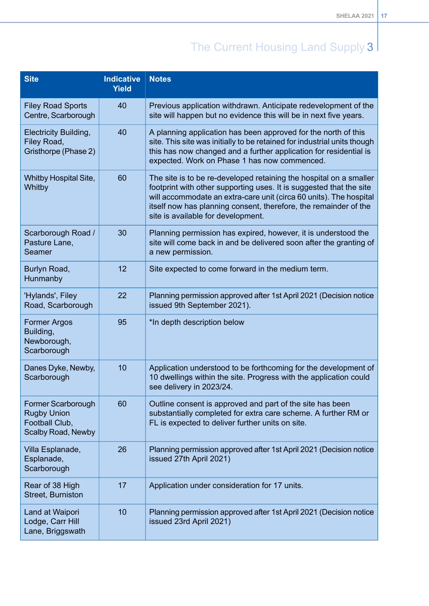<span id="page-22-0"></span>

| <b>Site</b>                                                                             | <b>Indicative</b><br><b>Yield</b> | <b>Notes</b>                                                                                                                                                                                                                                                                                                              |
|-----------------------------------------------------------------------------------------|-----------------------------------|---------------------------------------------------------------------------------------------------------------------------------------------------------------------------------------------------------------------------------------------------------------------------------------------------------------------------|
| <b>Filey Road Sports</b><br>Centre, Scarborough                                         | 40                                | Previous application withdrawn. Anticipate redevelopment of the<br>site will happen but no evidence this will be in next five years.                                                                                                                                                                                      |
| <b>Electricity Building,</b><br>Filey Road,<br>Gristhorpe (Phase 2)                     | 40                                | A planning application has been approved for the north of this<br>site. This site was initially to be retained for industrial units though<br>this has now changed and a further application for residential is<br>expected. Work on Phase 1 has now commenced.                                                           |
| <b>Whitby Hospital Site,</b><br>Whitby                                                  | 60                                | The site is to be re-developed retaining the hospital on a smaller<br>footprint with other supporting uses. It is suggested that the site<br>will accommodate an extra-care unit (circa 60 units). The hospital<br>itself now has planning consent, therefore, the remainder of the<br>site is available for development. |
| Scarborough Road /<br>Pasture Lane,<br><b>Seamer</b>                                    | 30                                | Planning permission has expired, however, it is understood the<br>site will come back in and be delivered soon after the granting of<br>a new permission.                                                                                                                                                                 |
| Burlyn Road,<br>Hunmanby                                                                | 12                                | Site expected to come forward in the medium term.                                                                                                                                                                                                                                                                         |
| 'Hylands', Filey<br>Road, Scarborough                                                   | 22                                | Planning permission approved after 1st April 2021 (Decision notice<br>issued 9th September 2021).                                                                                                                                                                                                                         |
| <b>Former Argos</b><br>Building,<br>Newborough,<br>Scarborough                          | 95                                | *In depth description below                                                                                                                                                                                                                                                                                               |
| Danes Dyke, Newby,<br>Scarborough                                                       | 10                                | Application understood to be forthcoming for the development of<br>10 dwellings within the site. Progress with the application could<br>see delivery in 2023/24.                                                                                                                                                          |
| Former Scarborough<br><b>Rugby Union</b><br>Football Club,<br><b>Scalby Road, Newby</b> | 60                                | Outline consent is approved and part of the site has been<br>substantially completed for extra care scheme. A further RM or<br>FL is expected to deliver further units on site.                                                                                                                                           |
| Villa Esplanade,<br>Esplanade,<br>Scarborough                                           | 26                                | Planning permission approved after 1st April 2021 (Decision notice<br>issued 27th April 2021)                                                                                                                                                                                                                             |
| Rear of 38 High<br>Street, Burniston                                                    | 17                                | Application under consideration for 17 units.                                                                                                                                                                                                                                                                             |
| Land at Waipori<br>Lodge, Carr Hill<br>Lane, Briggswath                                 | 10                                | Planning permission approved after 1st April 2021 (Decision notice<br>issued 23rd April 2021)                                                                                                                                                                                                                             |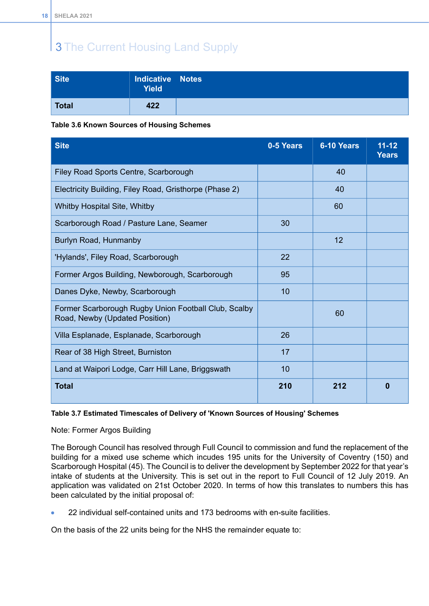| Site         | Indicative Notes<br>Yield <sup>1</sup> |  |
|--------------|----------------------------------------|--|
| <b>Total</b> | 422                                    |  |

### **Table 3.6 Known Sources of Housing Schemes**

<span id="page-23-0"></span>

| <b>Site</b>                                                                            | 0-5 Years | 6-10 Years | $11 - 12$<br><b>Years</b> |
|----------------------------------------------------------------------------------------|-----------|------------|---------------------------|
| Filey Road Sports Centre, Scarborough                                                  |           | 40         |                           |
| Electricity Building, Filey Road, Gristhorpe (Phase 2)                                 |           | 40         |                           |
| Whitby Hospital Site, Whitby                                                           |           | 60         |                           |
| Scarborough Road / Pasture Lane, Seamer                                                | 30        |            |                           |
| Burlyn Road, Hunmanby                                                                  |           | 12         |                           |
| 'Hylands', Filey Road, Scarborough                                                     | 22        |            |                           |
| Former Argos Building, Newborough, Scarborough                                         | 95        |            |                           |
| Danes Dyke, Newby, Scarborough                                                         | 10        |            |                           |
| Former Scarborough Rugby Union Football Club, Scalby<br>Road, Newby (Updated Position) |           | 60         |                           |
| Villa Esplanade, Esplanade, Scarborough                                                | 26        |            |                           |
| Rear of 38 High Street, Burniston                                                      | 17        |            |                           |
| Land at Waipori Lodge, Carr Hill Lane, Briggswath                                      | 10        |            |                           |
| <b>Total</b>                                                                           | 210       | 212        | 0                         |

### **Table 3.7 Estimated Timescales of Delivery of 'Known Sources of Housing' Schemes**

Note: Former Argos Building

The Borough Council has resolved through Full Council to commission and fund the replacement of the building for a mixed use scheme which incudes 195 units for the University of Coventry (150) and Scarborough Hospital (45). The Council is to deliver the development by September 2022 for that year's intake of students at the University. This is set out in the report to Full Council of 12 July 2019. An application was validated on 21st October 2020. In terms of how this translates to numbers this has been calculated by the initial proposal of:

22 individual self-contained units and 173 bedrooms with en-suite facilities.

On the basis of the 22 units being for the NHS the remainder equate to: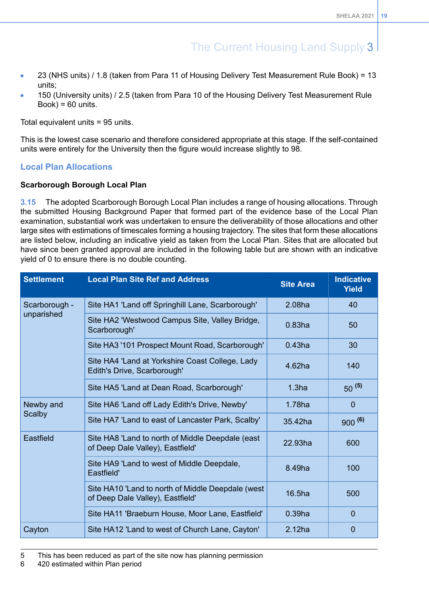- 23 (NHS units) / 1.8 (taken from Para 11 of Housing Delivery Test Measurement Rule Book) = 13 units;
- 150 (University units) / 2.5 (taken from Para 10 of the Housing Delivery Test Measurement Rule  $Book$ ) = 60 units.

Total equivalent units = 95 units.

<span id="page-24-0"></span>This is the lowest case scenario and therefore considered appropriate at this stage. If the self-contained units were entirely for the University then the figure would increase slightly to 98.

### **Local Plan Allocations**

### **Scarborough Borough Local Plan**

**3.15** The adopted Scarborough Borough Local Plan includes a range of housing allocations. Through the submitted Housing Background Paper that formed part of the evidence base of the Local Plan examination, substantial work was undertaken to ensure the deliverability of those allocations and other large sites with estimations of timescales forming a housing trajectory. The sites that form these allocations are listed below, including an indicative yield as taken from the Local Plan. Sites that are allocated but have since been granted approval are included in the following table but are shown with an indicative yield of 0 to ensure there is no double counting.

<span id="page-24-1"></span>

| <b>Settlement</b>          | <b>Local Plan Site Ref and Address</b>                                                | <b>Site Area</b>  | <b>Indicative</b><br><b>Yield</b> |
|----------------------------|---------------------------------------------------------------------------------------|-------------------|-----------------------------------|
| Scarborough -              | Site HA1 'Land off Springhill Lane, Scarborough'                                      | 2.08ha            | 40                                |
| unparished                 | Site HA2 'Westwood Campus Site, Valley Bridge,<br>Scarborough'                        | $0.83$ ha         | 50                                |
|                            | Site HA3 '101 Prospect Mount Road, Scarborough'                                       | $0.43$ ha         | 30                                |
|                            | Site HA4 'Land at Yorkshire Coast College, Lady<br>Edith's Drive, Scarborough'        | 4.62ha            | 140                               |
|                            | Site HA5 'Land at Dean Road, Scarborough'                                             | 1.3 <sub>ha</sub> | $50^{(5)}$                        |
| Newby and<br><b>Scalby</b> | Site HA6 'Land off Lady Edith's Drive, Newby'                                         | 1.78ha            | $\mathbf 0$                       |
|                            | Site HA7 'Land to east of Lancaster Park, Scalby'                                     | 35.42ha           | $900^{(6)}$                       |
| Eastfield                  | Site HA8 'Land to north of Middle Deepdale (east<br>of Deep Dale Valley), Eastfield'  | 22.93ha           | 600                               |
|                            | Site HA9 'Land to west of Middle Deepdale,<br>Eastfield'                              | 8.49ha            | 100                               |
|                            | Site HA10 'Land to north of Middle Deepdale (west<br>of Deep Dale Valley), Eastfield' | 16.5ha            | 500                               |
|                            | Site HA11 'Braeburn House, Moor Lane, Eastfield'                                      | $0.39$ ha         | $\Omega$                          |
| Cayton                     | Site HA12 'Land to west of Church Lane, Cayton'                                       | 2.12ha            | $\overline{0}$                    |

<sup>5</sup> This has been reduced as part of the site now has planning permission<br>6 420 estimated within Plan period

<sup>420</sup> estimated within Plan period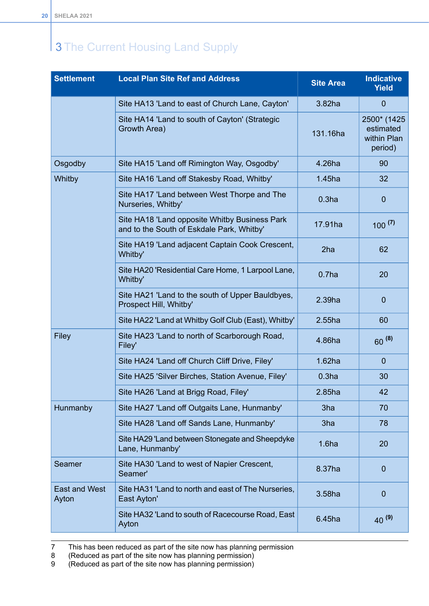| <b>Settlement</b>             | <b>Local Plan Site Ref and Address</b>                                                     | <b>Site Area</b>  | <b>Indicative</b><br><b>Yield</b>                  |
|-------------------------------|--------------------------------------------------------------------------------------------|-------------------|----------------------------------------------------|
|                               | Site HA13 'Land to east of Church Lane, Cayton'                                            | 3.82ha            | $\overline{0}$                                     |
|                               | Site HA14 'Land to south of Cayton' (Strategic<br>Growth Area)                             | 131.16ha          | 2500* (1425<br>estimated<br>within Plan<br>period) |
| Osgodby                       | Site HA15 'Land off Rimington Way, Osgodby'                                                | 4.26ha            | 90                                                 |
| Whitby                        | Site HA16 'Land off Stakesby Road, Whitby'                                                 | 1.45ha            | 32                                                 |
|                               | Site HA17 'Land between West Thorpe and The<br>Nurseries, Whitby'                          | 0.3 <sub>ha</sub> | $\overline{0}$                                     |
|                               | Site HA18 'Land opposite Whitby Business Park<br>and to the South of Eskdale Park, Whitby' | 17.91ha           | $100^{(7)}$                                        |
|                               | Site HA19 'Land adjacent Captain Cook Crescent,<br>Whitby'                                 | 2ha               | 62                                                 |
|                               | Site HA20 'Residential Care Home, 1 Larpool Lane,<br>Whitby'                               | 0.7 <sub>ha</sub> | 20                                                 |
|                               | Site HA21 'Land to the south of Upper Bauldbyes,<br>Prospect Hill, Whitby'                 | 2.39ha            | $\mathbf 0$                                        |
|                               | Site HA22 'Land at Whitby Golf Club (East), Whitby'                                        | 2.55ha            | 60                                                 |
| Filey                         | Site HA23 'Land to north of Scarborough Road,<br>Filey'                                    | 4.86ha            | $60^{(8)}$                                         |
|                               | Site HA24 'Land off Church Cliff Drive, Filey'                                             | 1.62ha            | $\overline{0}$                                     |
|                               | Site HA25 'Silver Birches, Station Avenue, Filey'                                          | 0.3 <sub>ha</sub> | 30                                                 |
|                               | Site HA26 'Land at Brigg Road, Filey'                                                      | 2.85ha            | 42                                                 |
| Hunmanby                      | Site HA27 'Land off Outgaits Lane, Hunmanby'                                               | 3ha               | 70                                                 |
|                               | Site HA28 'Land off Sands Lane, Hunmanby'                                                  | 3ha               | 78                                                 |
|                               | Site HA29 'Land between Stonegate and Sheepdyke<br>Lane, Hunmanby'                         | 1.6 <sub>ha</sub> | 20                                                 |
| Seamer                        | Site HA30 'Land to west of Napier Crescent,<br>Seamer'                                     | 8.37ha            | $\mathbf 0$                                        |
| <b>East and West</b><br>Ayton | Site HA31 'Land to north and east of The Nurseries,<br>East Ayton'                         | 3.58ha            | $\mathbf 0$                                        |
|                               | Site HA32 'Land to south of Racecourse Road, East<br>Ayton                                 | 6.45ha            | $40^{(9)}$                                         |

7 This has been reduced as part of the site now has planning permission (Reduced as part of the site now has planning permission)

8 (Reduced as part of the site now has planning permission)<br>9 (Reduced as part of the site now has planning permission)

(Reduced as part of the site now has planning permission)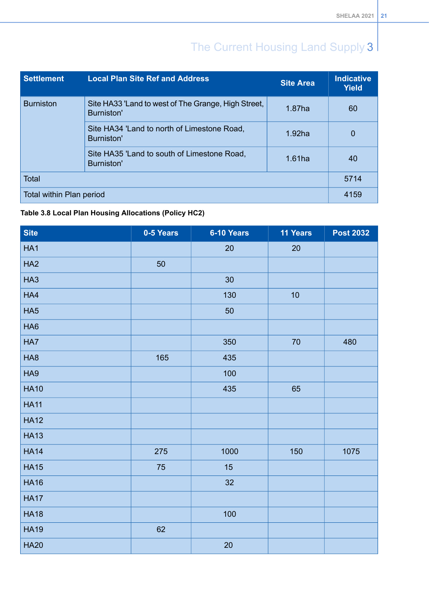| <b>Settlement</b>                                                                     | <b>Local Plan Site Ref and Address</b>                    | <b>Site Area</b> | <b>Indicative</b><br><b>Yield</b> |
|---------------------------------------------------------------------------------------|-----------------------------------------------------------|------------------|-----------------------------------|
| <b>Burniston</b><br>Site HA33 'Land to west of The Grange, High Street,<br>Burniston' |                                                           | 1.87ha           | 60                                |
|                                                                                       | Site HA34 'Land to north of Limestone Road,<br>Burniston' | $1.92$ ha        | 0                                 |
|                                                                                       | Site HA35 'Land to south of Limestone Road,<br>Burniston' | $1.61$ ha        | 40                                |
| <b>Total</b>                                                                          |                                                           |                  | 5714                              |
| Total within Plan period                                                              |                                                           |                  | 4159                              |

### **Table 3.8 Local Plan Housing Allocations (Policy HC2)**

<span id="page-26-0"></span>

| <b>Site</b>     | 0-5 Years | 6-10 Years      | 11 Years | <b>Post 2032</b> |
|-----------------|-----------|-----------------|----------|------------------|
| HA1             |           | 20              | $20\,$   |                  |
| HA <sub>2</sub> | 50        |                 |          |                  |
| HA <sub>3</sub> |           | 30 <sub>o</sub> |          |                  |
| HA4             |           | 130             | 10       |                  |
| HA <sub>5</sub> |           | $50\,$          |          |                  |
| HA <sub>6</sub> |           |                 |          |                  |
| HA7             |           | 350             | $70\,$   | 480              |
| HA <sub>8</sub> | 165       | 435             |          |                  |
| HA9             |           | 100             |          |                  |
| <b>HA10</b>     |           | 435             | 65       |                  |
| <b>HA11</b>     |           |                 |          |                  |
| <b>HA12</b>     |           |                 |          |                  |
| <b>HA13</b>     |           |                 |          |                  |
| <b>HA14</b>     | 275       | 1000            | 150      | 1075             |
| <b>HA15</b>     | 75        | 15              |          |                  |
| <b>HA16</b>     |           | 32              |          |                  |
| <b>HA17</b>     |           |                 |          |                  |
| <b>HA18</b>     |           | 100             |          |                  |
| <b>HA19</b>     | 62        |                 |          |                  |
| <b>HA20</b>     |           | $20\,$          |          |                  |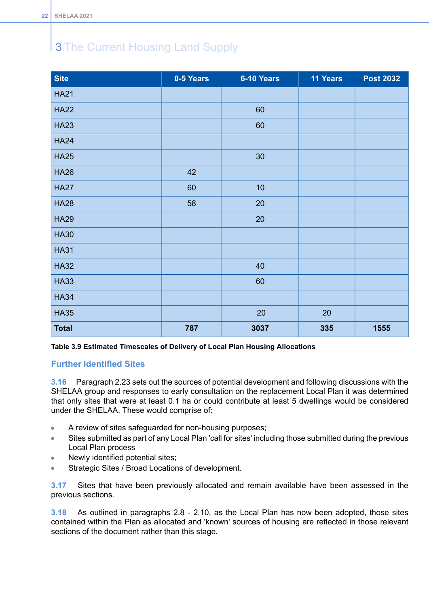| <b>Site</b>  | 0-5 Years | 6-10 Years | 11 Years | <b>Post 2032</b> |
|--------------|-----------|------------|----------|------------------|
| <b>HA21</b>  |           |            |          |                  |
| <b>HA22</b>  |           | 60         |          |                  |
| <b>HA23</b>  |           | 60         |          |                  |
| <b>HA24</b>  |           |            |          |                  |
| <b>HA25</b>  |           | 30         |          |                  |
| <b>HA26</b>  | 42        |            |          |                  |
| <b>HA27</b>  | 60        | 10         |          |                  |
| <b>HA28</b>  | 58        | 20         |          |                  |
| <b>HA29</b>  |           | 20         |          |                  |
| <b>HA30</b>  |           |            |          |                  |
| <b>HA31</b>  |           |            |          |                  |
| <b>HA32</b>  |           | 40         |          |                  |
| <b>HA33</b>  |           | 60         |          |                  |
| <b>HA34</b>  |           |            |          |                  |
| <b>HA35</b>  |           | 20         | 20       |                  |
| <b>Total</b> | 787       | 3037       | 335      | 1555             |

### <span id="page-27-0"></span>**Table 3.9 Estimated Timescales of Delivery of Local Plan Housing Allocations**

### **Further Identified Sites**

**3.16** Paragraph 2.23 sets out the sources of potential development and following discussions with the SHELAA group and responses to early consultation on the replacement Local Plan it was determined that only sites that were at least 0.1 ha or could contribute at least 5 dwellings would be considered under the SHELAA. These would comprise of:

- A review of sites safeguarded for non-housing purposes;  $\bullet$
- Sites submitted as part of any Local Plan 'call for sites' including those submitted during the previous  $\bullet$ Local Plan process
- Newly identified potential sites;  $\bullet$
- Strategic Sites / Broad Locations of development.  $\bullet$

**3.17** Sites that have been previously allocated and remain available have been assessed in the previous sections.

**3.18** As outlined in paragraphs 2.8 - 2.10, as the Local Plan has now been adopted, those sites contained within the Plan as allocated and 'known' sources of housing are reflected in those relevant sections of the document rather than this stage.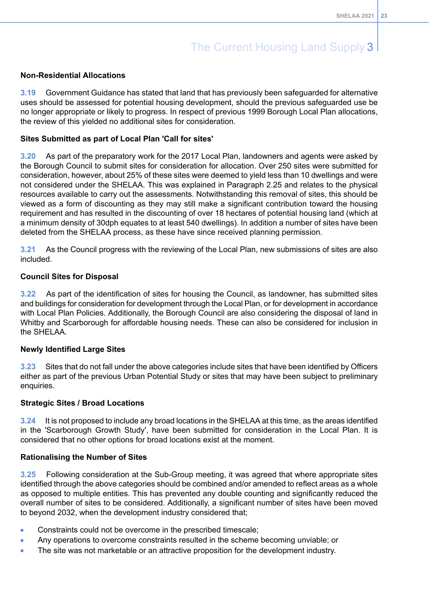### **Non-Residential Allocations**

**3.19** Government Guidance has stated that land that has previously been safeguarded for alternative uses should be assessed for potential housing development, should the previous safeguarded use be no longer appropriate or likely to progress. In respect of previous 1999 Borough Local Plan allocations, the review of this yielded no additional sites for consideration.

### **Sites Submitted as part of Local Plan 'Call for sites'**

**3.20** As part of the preparatory work for the 2017 Local Plan, landowners and agents were asked by the Borough Council to submit sites for consideration for allocation. Over 250 sites were submitted for consideration, however, about 25% of these sites were deemed to yield less than 10 dwellings and were not considered under the SHELAA. This was explained in Paragraph 2.25 and relates to the physical resources available to carry out the assessments. Notwithstanding this removal of sites, this should be viewed as a form of discounting as they may still make a significant contribution toward the housing requirement and has resulted in the discounting of over 18 hectares of potential housing land (which at a minimum density of 30dph equates to at least 540 dwellings). In addition a number of sites have been deleted from the SHELAA process, as these have since received planning permission.

**3.21** As the Council progress with the reviewing of the Local Plan, new submissions of sites are also included.

#### **Council Sites for Disposal**

**3.22** As part of the identification of sites for housing the Council, as landowner, has submitted sites and buildings for consideration for development through the Local Plan, or for development in accordance with Local Plan Policies. Additionally, the Borough Council are also considering the disposal of land in Whitby and Scarborough for affordable housing needs. These can also be considered for inclusion in the SHELAA.

### **Newly Identified Large Sites**

**3.23** Sites that do not fall under the above categories include sites that have been identified by Officers either as part of the previous Urban Potential Study or sites that may have been subject to preliminary enquiries.

#### **Strategic Sites / Broad Locations**

**3.24** It is not proposed to include any broad locations in the SHELAA at this time, as the areas identified in the 'Scarborough Growth Study', have been submitted for consideration in the Local Plan. It is considered that no other options for broad locations exist at the moment.

### **Rationalising the Number of Sites**

**3.25** Following consideration at the Sub-Group meeting, it was agreed that where appropriate sites identified through the above categories should be combined and/or amended to reflect areas as a whole as opposed to multiple entities. This has prevented any double counting and significantly reduced the overall number of sites to be considered. Additionally, a significant number of sites have been moved to beyond 2032, when the development industry considered that;

- Constraints could not be overcome in the prescribed timescale;
- Any operations to overcome constraints resulted in the scheme becoming unviable; or
- The site was not marketable or an attractive proposition for the development industry.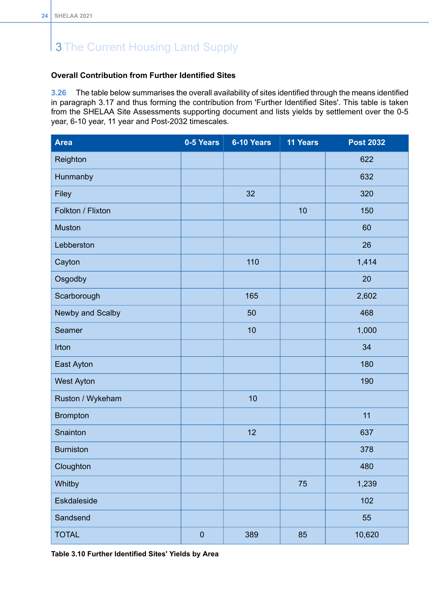### **Overall Contribution from Further Identified Sites**

**3.26** The table below summarises the overall availability of sites identified through the means identified in paragraph 3.17 and thus forming the contribution from 'Further Identified Sites'. This table is taken from the SHELAA Site Assessments supporting document and lists yields by settlement over the 0-5 year, 6-10 year, 11 year and Post-2032 timescales.

<span id="page-29-0"></span>

| <b>Area</b>       | 0-5 Years | 6-10 Years | <b>11 Years</b> | <b>Post 2032</b> |
|-------------------|-----------|------------|-----------------|------------------|
| Reighton          |           |            |                 | 622              |
| Hunmanby          |           |            |                 | 632              |
| Filey             |           | 32         |                 | 320              |
| Folkton / Flixton |           |            | 10              | 150              |
| Muston            |           |            |                 | 60               |
| Lebberston        |           |            |                 | 26               |
| Cayton            |           | 110        |                 | 1,414            |
| Osgodby           |           |            |                 | 20               |
| Scarborough       |           | 165        |                 | 2,602            |
| Newby and Scalby  |           | 50         |                 | 468              |
| Seamer            |           | 10         |                 | 1,000            |
| Irton             |           |            |                 | 34               |
| East Ayton        |           |            |                 | 180              |
| <b>West Ayton</b> |           |            |                 | 190              |
| Ruston / Wykeham  |           | 10         |                 |                  |
| <b>Brompton</b>   |           |            |                 | 11               |
| Snainton          |           | 12         |                 | 637              |
| <b>Burniston</b>  |           |            |                 | 378              |
| Cloughton         |           |            |                 | 480              |
| Whitby            |           |            | 75              | 1,239            |
| Eskdaleside       |           |            |                 | 102              |
| Sandsend          |           |            |                 | 55               |
| <b>TOTAL</b>      | $\pmb{0}$ | 389        | 85              | 10,620           |

**Table 3.10 Further Identified Sites' Yields by Area**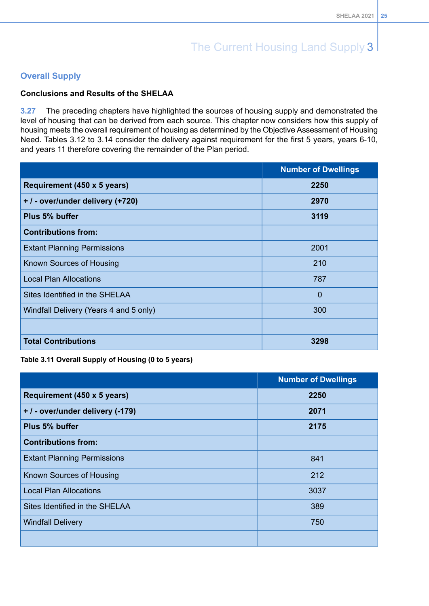### <span id="page-30-0"></span>**Overall Supply**

### **Conclusions and Results of the SHELAA**

**3.27** The preceding chapters have highlighted the sources of housing supply and demonstrated the level of housing that can be derived from each source. This chapter now considers how this supply of housing meets the overall requirement of housing as determined by the Objective Assessment of Housing Need. Tables 3.12 to 3.14 consider the delivery against requirement for the first 5 years, years 6-10, and years 11 therefore covering the remainder of the Plan period.

<span id="page-30-1"></span>

|                                        | <b>Number of Dwellings</b> |
|----------------------------------------|----------------------------|
| Requirement (450 x 5 years)            | 2250                       |
| +/- over/under delivery (+720)         | 2970                       |
| Plus 5% buffer                         | 3119                       |
| <b>Contributions from:</b>             |                            |
| <b>Extant Planning Permissions</b>     | 2001                       |
| Known Sources of Housing               | 210                        |
| <b>Local Plan Allocations</b>          | 787                        |
| Sites Identified in the SHELAA         | $\overline{0}$             |
| Windfall Delivery (Years 4 and 5 only) | 300                        |
|                                        |                            |
| <b>Total Contributions</b>             | 3298                       |

### <span id="page-30-2"></span>**Table 3.11 Overall Supply of Housing (0 to 5 years)**

|                                    | <b>Number of Dwellings</b> |
|------------------------------------|----------------------------|
| Requirement (450 x 5 years)        | 2250                       |
| +/-over/under delivery (-179)      | 2071                       |
| Plus 5% buffer                     | 2175                       |
| <b>Contributions from:</b>         |                            |
| <b>Extant Planning Permissions</b> | 841                        |
| Known Sources of Housing           | 212                        |
| <b>Local Plan Allocations</b>      | 3037                       |
| Sites Identified in the SHELAA     | 389                        |
| <b>Windfall Delivery</b>           | 750                        |
|                                    |                            |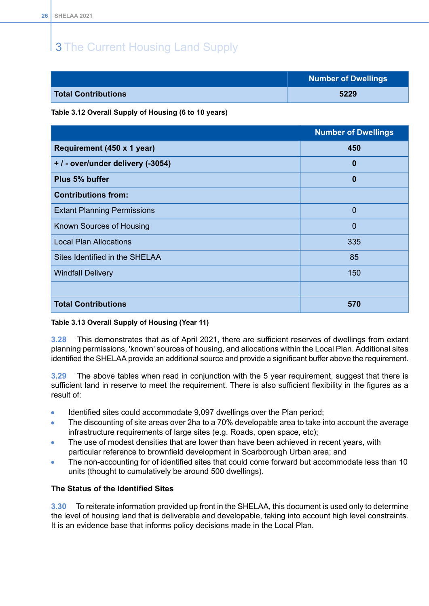|                            | <b>Number of Dwellings</b> |
|----------------------------|----------------------------|
| <b>Total Contributions</b> | 5229                       |

**Table 3.12 Overall Supply of Housing (6 to 10 years)**

<span id="page-31-0"></span>

|                                    | <b>Number of Dwellings</b> |
|------------------------------------|----------------------------|
| Requirement (450 x 1 year)         | 450                        |
| + / - over/under delivery (-3054)  | 0                          |
| Plus 5% buffer                     | 0                          |
| <b>Contributions from:</b>         |                            |
| <b>Extant Planning Permissions</b> | $\overline{0}$             |
| Known Sources of Housing           | $\overline{0}$             |
| <b>Local Plan Allocations</b>      | 335                        |
| Sites Identified in the SHELAA     | 85                         |
| <b>Windfall Delivery</b>           | 150                        |
|                                    |                            |
| <b>Total Contributions</b>         | 570                        |

### **Table 3.13 Overall Supply of Housing (Year 11)**

**3.28** This demonstrates that as of April 2021, there are sufficient reserves of dwellings from extant planning permissions, 'known' sources of housing, and allocations within the Local Plan. Additional sites identified the SHELAA provide an additional source and provide a significant buffer above the requirement.

**3.29** The above tables when read in conjunction with the 5 year requirement, suggest that there is sufficient land in reserve to meet the requirement. There is also sufficient flexibility in the figures as a result of:

- Identified sites could accommodate 9,097 dwellings over the Plan period;
- The discounting of site areas over 2ha to a 70% developable area to take into account the average infrastructure requirements of large sites (e.g. Roads, open space, etc);
- The use of modest densities that are lower than have been achieved in recent years, with particular reference to brownfield development in Scarborough Urban area; and
- The non-accounting for of identified sites that could come forward but accommodate less than 10  $\bullet$ units (thought to cumulatively be around 500 dwellings).

### **The Status of the Identified Sites**

**3.30** To reiterate information provided up front in the SHELAA, this document is used only to determine the level of housing land that is deliverable and developable, taking into account high level constraints. It is an evidence base that informs policy decisions made in the Local Plan.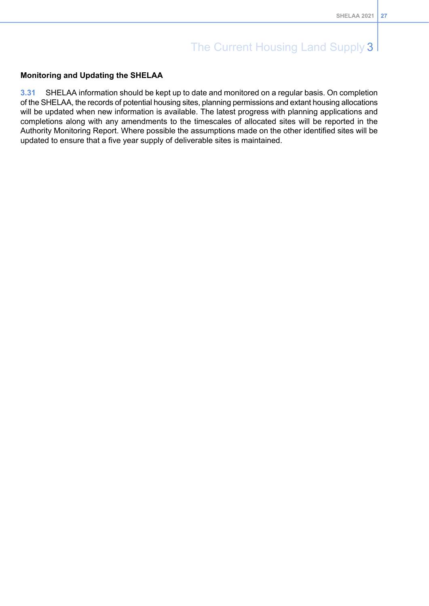### **Monitoring and Updating the SHELAA**

**3.31** SHELAA information should be kept up to date and monitored on a regular basis. On completion of the SHELAA, the records of potential housing sites, planning permissions and extant housing allocations will be updated when new information is available. The latest progress with planning applications and completions along with any amendments to the timescales of allocated sites will be reported in the Authority Monitoring Report. Where possible the assumptions made on the other identified sites will be updated to ensure that a five year supply of deliverable sites is maintained.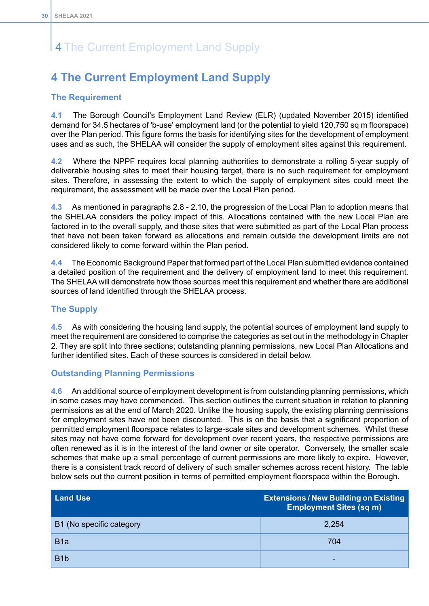### <span id="page-35-0"></span>**4 The Current Employment Land Supply**

### <span id="page-35-1"></span>**The Requirement**

**4.1** The Borough Council's Employment Land Review (ELR) (updated November 2015) identified demand for 34.5 hectares of 'b-use' employment land (or the potential to yield 120,750 sq m floorspace) over the Plan period. This figure forms the basis for identifying sites for the development of employment uses and as such, the SHELAA will consider the supply of employment sites against this requirement.

**4.2** Where the NPPF requires local planning authorities to demonstrate a rolling 5-year supply of deliverable housing sites to meet their housing target, there is no such requirement for employment sites. Therefore, in assessing the extent to which the supply of employment sites could meet the requirement, the assessment will be made over the Local Plan period.

**4.3** As mentioned in paragraphs 2.8 - 2.10, the progression of the Local Plan to adoption means that the SHELAA considers the policy impact of this. Allocations contained with the new Local Plan are factored in to the overall supply, and those sites that were submitted as part of the Local Plan process that have not been taken forward as allocations and remain outside the development limits are not considered likely to come forward within the Plan period.

<span id="page-35-2"></span>**4.4** The Economic Background Paper that formed part of the Local Plan submitted evidence contained a detailed position of the requirement and the delivery of employment land to meet this requirement. The SHELAA will demonstrate how those sources meet this requirement and whether there are additional sources of land identified through the SHELAA process.

### **The Supply**

<span id="page-35-3"></span>**4.5** As with considering the housing land supply, the potential sources of employment land supply to meet the requirement are considered to comprise the categories as set out in the methodology in Chapter 2. They are split into three sections; outstanding planning permissions, new Local Plan Allocations and further identified sites. Each of these sources is considered in detail below.

### **Outstanding Planning Permissions**

**4.6** An additional source of employment development is from outstanding planning permissions, which in some cases may have commenced. This section outlines the current situation in relation to planning permissions as at the end of March 2020. Unlike the housing supply, the existing planning permissions for employment sites have not been discounted. This is on the basis that a significant proportion of permitted employment floorspace relates to large-scale sites and development schemes. Whilst these sites may not have come forward for development over recent years, the respective permissions are often renewed as it is in the interest of the land owner or site operator. Conversely, the smaller scale schemes that make up a small percentage of current permissions are more likely to expire. However, there is a consistent track record of delivery of such smaller schemes across recent history. The table below sets out the current position in terms of permitted employment floorspace within the Borough.

<span id="page-35-4"></span>

| <b>Land Use</b>          | <b>Extensions / New Building on Existing</b><br><b>Employment Sites (sq m)</b> |
|--------------------------|--------------------------------------------------------------------------------|
| B1 (No specific category | 2,254                                                                          |
| B <sub>1</sub> a         | 704                                                                            |
| B <sub>1</sub> b         |                                                                                |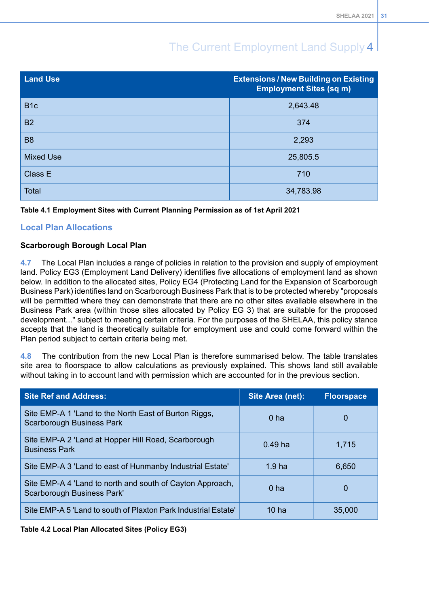| <b>Land Use</b>  | <b>Extensions / New Building on Existing</b><br><b>Employment Sites (sq m)</b> |
|------------------|--------------------------------------------------------------------------------|
| B <sub>1c</sub>  | 2,643.48                                                                       |
| <b>B2</b>        | 374                                                                            |
| <b>B8</b>        | 2,293                                                                          |
| <b>Mixed Use</b> | 25,805.5                                                                       |
| Class E          | 710                                                                            |
| <b>Total</b>     | 34,783.98                                                                      |

### <span id="page-36-0"></span>**Table 4.1 Employment Sites with Current Planning Permission as of 1st April 2021**

### **Local Plan Allocations**

### **Scarborough Borough Local Plan**

**4.7** The Local Plan includes a range of policies in relation to the provision and supply of employment land. Policy EG3 (Employment Land Delivery) identifies five allocations of employment land as shown below. In addition to the allocated sites, Policy EG4 (Protecting Land for the Expansion of Scarborough Business Park) identifies land on Scarborough Business Park that is to be protected whereby "proposals will be permitted where they can demonstrate that there are no other sites available elsewhere in the Business Park area (within those sites allocated by Policy EG 3) that are suitable for the proposed development..." subject to meeting certain criteria. For the purposes of the SHELAA, this policy stance accepts that the land is theoretically suitable for employment use and could come forward within the Plan period subject to certain criteria being met.

<span id="page-36-1"></span>**4.8** The contribution from the new Local Plan is therefore summarised below. The table translates site area to floorspace to allow calculations as previously explained. This shows land still available without taking in to account land with permission which are accounted for in the previous section.

| <b>Site Ref and Address:</b>                                                              | Site Area (net):  | <b>Floorspace</b> |
|-------------------------------------------------------------------------------------------|-------------------|-------------------|
| Site EMP-A 1 'Land to the North East of Burton Riggs,<br><b>Scarborough Business Park</b> | 0 <sub>ha</sub>   | $\Omega$          |
| Site EMP-A 2 'Land at Hopper Hill Road, Scarborough<br><b>Business Park</b>               | $0.49$ ha         | 1,715             |
| Site EMP-A 3 'Land to east of Hunmanby Industrial Estate'                                 | 1.9 <sub>ha</sub> | 6,650             |
| Site EMP-A 4 'Land to north and south of Cayton Approach,<br>Scarborough Business Park'   | 0 <sub>ha</sub>   | $\Omega$          |
| Site EMP-A 5 'Land to south of Plaxton Park Industrial Estate'                            | 10 ha             | 35,000            |

**Table 4.2 Local Plan Allocated Sites (Policy EG3)**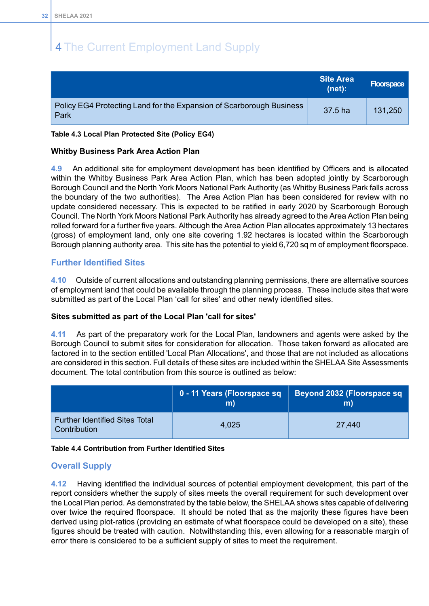<span id="page-37-2"></span>

|                                                                              | <b>Site Area</b><br>$(net)$ : | <b>Floorspace</b> |
|------------------------------------------------------------------------------|-------------------------------|-------------------|
| Policy EG4 Protecting Land for the Expansion of Scarborough Business<br>Park | 37.5 ha                       | 131,250           |

### **Table 4.3 Local Plan Protected Site (Policy EG4)**

### **Whitby Business Park Area Action Plan**

**4.9** An additional site for employment development has been identified by Officers and is allocated within the Whitby Business Park Area Action Plan, which has been adopted jointly by Scarborough Borough Council and the North York Moors National Park Authority (as Whitby Business Park falls across the boundary of the two authorities). The Area Action Plan has been considered for review with no update considered necessary. This is expected to be ratified in early 2020 by Scarborough Borough Council. The North York Moors National Park Authority has already agreed to the Area Action Plan being rolled forward for a further five years. Although the Area Action Plan allocates approximately 13 hectares (gross) of employment land, only one site covering 1.92 hectares is located within the Scarborough Borough planning authority area. This site has the potential to yield 6,720 sq m of employment floorspace.

### <span id="page-37-0"></span>**Further Identified Sites**

**4.10** Outside of current allocations and outstanding planning permissions, there are alternative sources of employment land that could be available through the planning process. These include sites that were submitted as part of the Local Plan 'call for sites' and other newly identified sites.

### **Sites submitted as part of the Local Plan 'call for sites'**

**4.11** As part of the preparatory work for the Local Plan, landowners and agents were asked by the Borough Council to submit sites for consideration for allocation. Those taken forward as allocated are factored in to the section entitled 'Local Plan Allocations', and those that are not included as allocations are considered in this section. Full details of these sites are included within the SHELAA Site Assessments document. The total contribution from this source is outlined as below:

<span id="page-37-3"></span><span id="page-37-1"></span>

|                                                       | 0 - 11 Years (Floorspace sq<br>m) | Beyond 2032 (Floorspace sq<br>m) |
|-------------------------------------------------------|-----------------------------------|----------------------------------|
| <b>Further Identified Sites Total</b><br>Contribution | 4.025                             | 27,440                           |

### **Table 4.4 Contribution from Further Identified Sites**

### **Overall Supply**

**4.12** Having identified the individual sources of potential employment development, this part of the report considers whether the supply of sites meets the overall requirement for such development over the Local Plan period. As demonstrated by the table below, the SHELAA shows sites capable of delivering over twice the required floorspace. It should be noted that as the majority these figures have been derived using plot-ratios (providing an estimate of what floorspace could be developed on a site), these figures should be treated with caution. Notwithstanding this, even allowing for a reasonable margin of error there is considered to be a sufficient supply of sites to meet the requirement.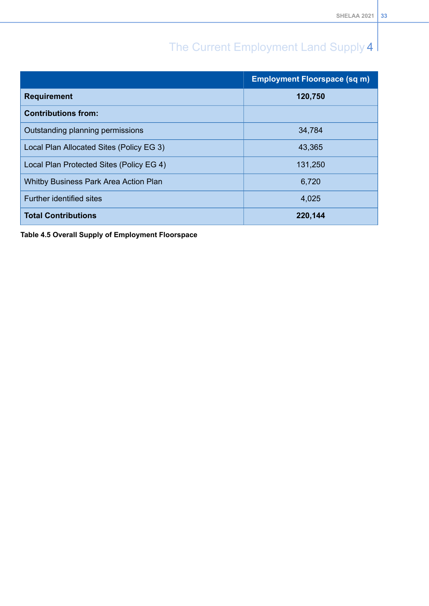<span id="page-38-0"></span>

|                                          | <b>Employment Floorspace (sq m)</b> |
|------------------------------------------|-------------------------------------|
| <b>Requirement</b>                       | 120,750                             |
| <b>Contributions from:</b>               |                                     |
| Outstanding planning permissions         | 34,784                              |
| Local Plan Allocated Sites (Policy EG 3) | 43,365                              |
| Local Plan Protected Sites (Policy EG 4) | 131,250                             |
| Whitby Business Park Area Action Plan    | 6,720                               |
| <b>Further identified sites</b>          | 4,025                               |
| <b>Total Contributions</b>               | 220,144                             |

**Table 4.5 Overall Supply of Employment Floorspace**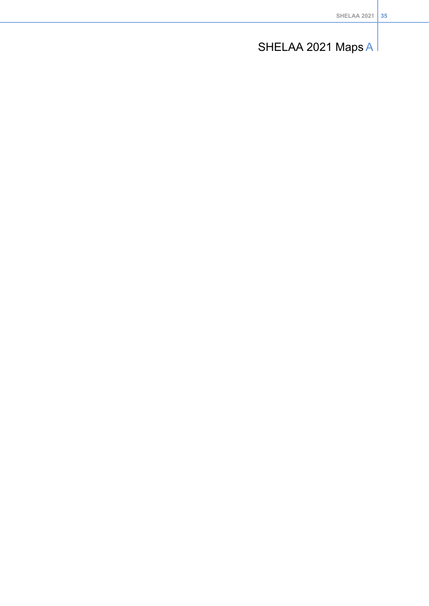## SHELAA 2021 Maps A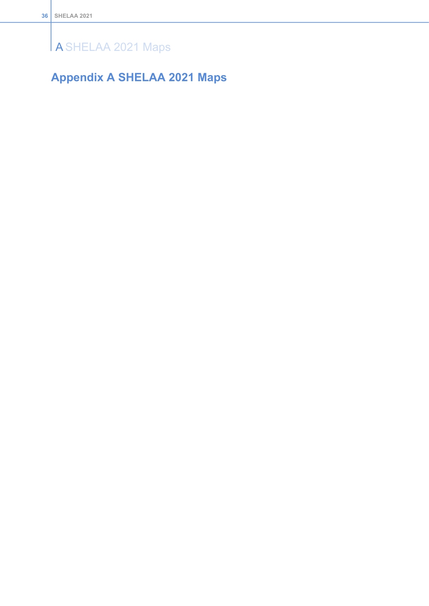## A SHELAA 2021 Maps

## <span id="page-41-0"></span>**Appendix A SHELAA 2021 Maps**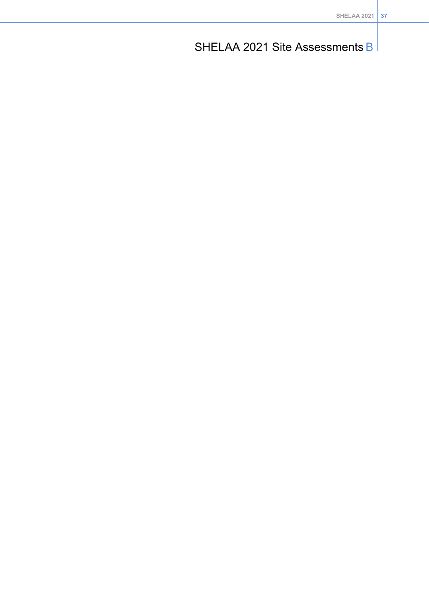## SHELAA 2021 Site Assessments B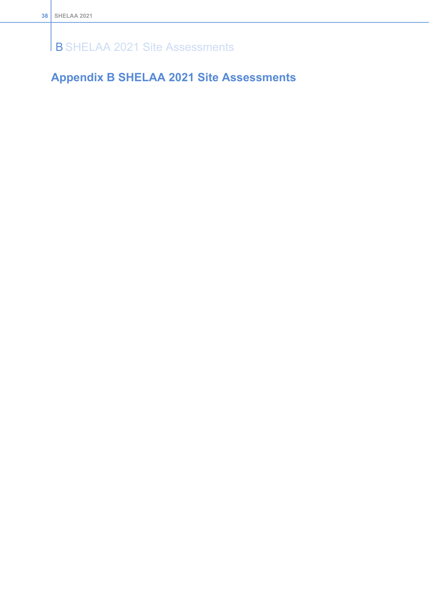### **B SHELAA 2021 Site Assessments**

## <span id="page-43-0"></span>**Appendix B SHELAA 2021 Site Assessments**